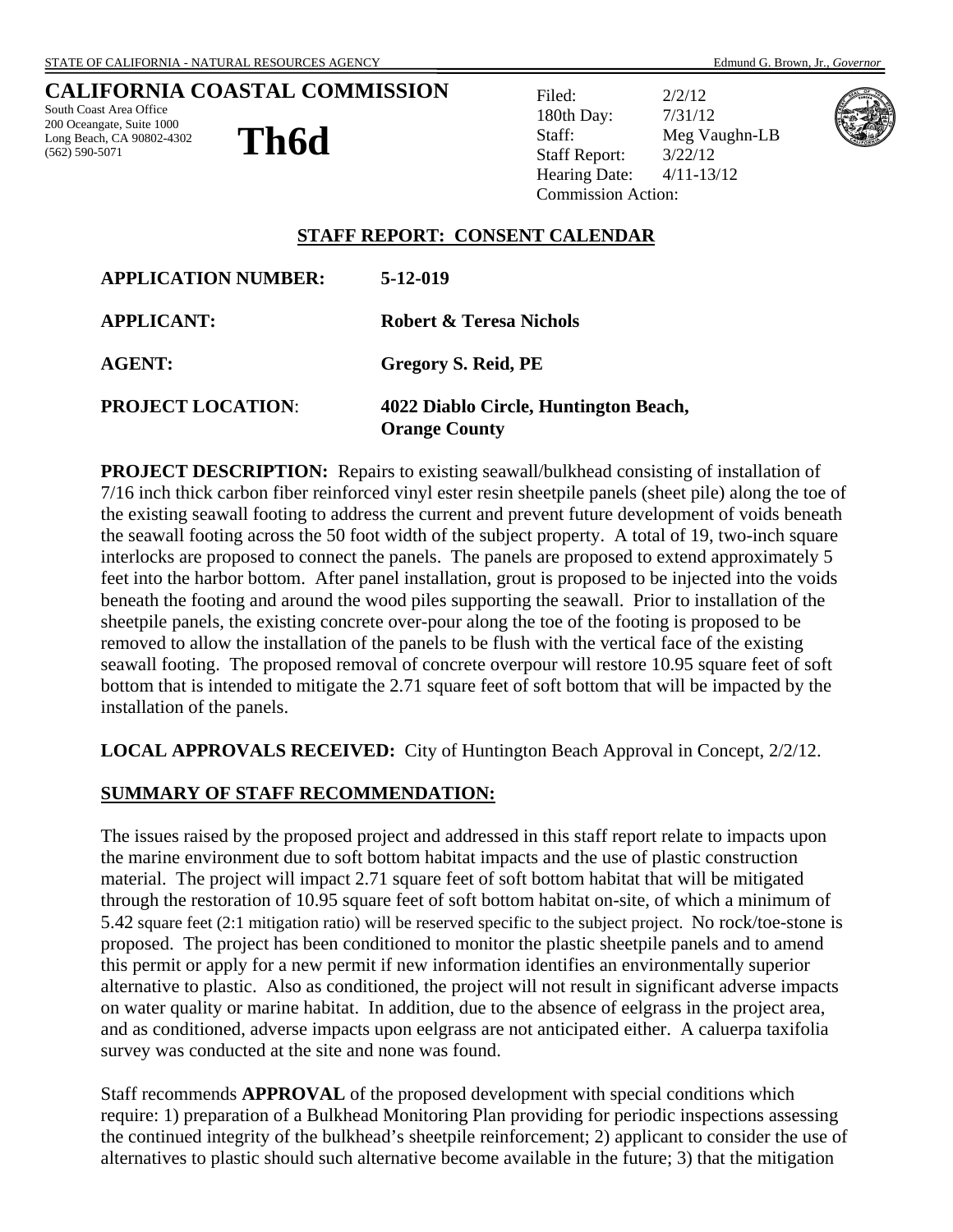### **CALIFORNIA COASTAL COMMISSION**

South Coast Area Office 200 Oceangate, Suite 1000 Long Beach, CA 90802-4302 (562) 590-5071

**Th6d** 

Filed: 2/2/12 180th Day: 7/31/12 Staff: Meg Vaughn-LB Staff Report: 3/22/12 Hearing Date: 4/11-13/12 Commission Action:



#### **STAFF REPORT: CONSENT CALENDAR**

| <b>APPLICATION NUMBER:</b> | 5-12-019                                                      |
|----------------------------|---------------------------------------------------------------|
| <b>APPLICANT:</b>          | Robert & Teresa Nichols                                       |
| <b>AGENT:</b>              | Gregory S. Reid, PE                                           |
| <b>PROJECT LOCATION:</b>   | 4022 Diablo Circle, Huntington Beach,<br><b>Orange County</b> |

**PROJECT DESCRIPTION:** Repairs to existing seawall/bulkhead consisting of installation of 7/16 inch thick carbon fiber reinforced vinyl ester resin sheetpile panels (sheet pile) along the toe of the existing seawall footing to address the current and prevent future development of voids beneath the seawall footing across the 50 foot width of the subject property. A total of 19, two-inch square interlocks are proposed to connect the panels. The panels are proposed to extend approximately 5 feet into the harbor bottom. After panel installation, grout is proposed to be injected into the voids beneath the footing and around the wood piles supporting the seawall. Prior to installation of the sheetpile panels, the existing concrete over-pour along the toe of the footing is proposed to be removed to allow the installation of the panels to be flush with the vertical face of the existing seawall footing. The proposed removal of concrete overpour will restore 10.95 square feet of soft bottom that is intended to mitigate the 2.71 square feet of soft bottom that will be impacted by the installation of the panels.

**LOCAL APPROVALS RECEIVED:** City of Huntington Beach Approval in Concept, 2/2/12.

#### **SUMMARY OF STAFF RECOMMENDATION:**

The issues raised by the proposed project and addressed in this staff report relate to impacts upon the marine environment due to soft bottom habitat impacts and the use of plastic construction material. The project will impact 2.71 square feet of soft bottom habitat that will be mitigated through the restoration of 10.95 square feet of soft bottom habitat on-site, of which a minimum of 5.42 square feet (2:1 mitigation ratio) will be reserved specific to the subject project. No rock/toe-stone is proposed. The project has been conditioned to monitor the plastic sheetpile panels and to amend this permit or apply for a new permit if new information identifies an environmentally superior alternative to plastic. Also as conditioned, the project will not result in significant adverse impacts on water quality or marine habitat. In addition, due to the absence of eelgrass in the project area, and as conditioned, adverse impacts upon eelgrass are not anticipated either. A caluerpa taxifolia survey was conducted at the site and none was found.

Staff recommends **APPROVAL** of the proposed development with special conditions which require: 1) preparation of a Bulkhead Monitoring Plan providing for periodic inspections assessing the continued integrity of the bulkhead's sheetpile reinforcement; 2) applicant to consider the use of alternatives to plastic should such alternative become available in the future; 3) that the mitigation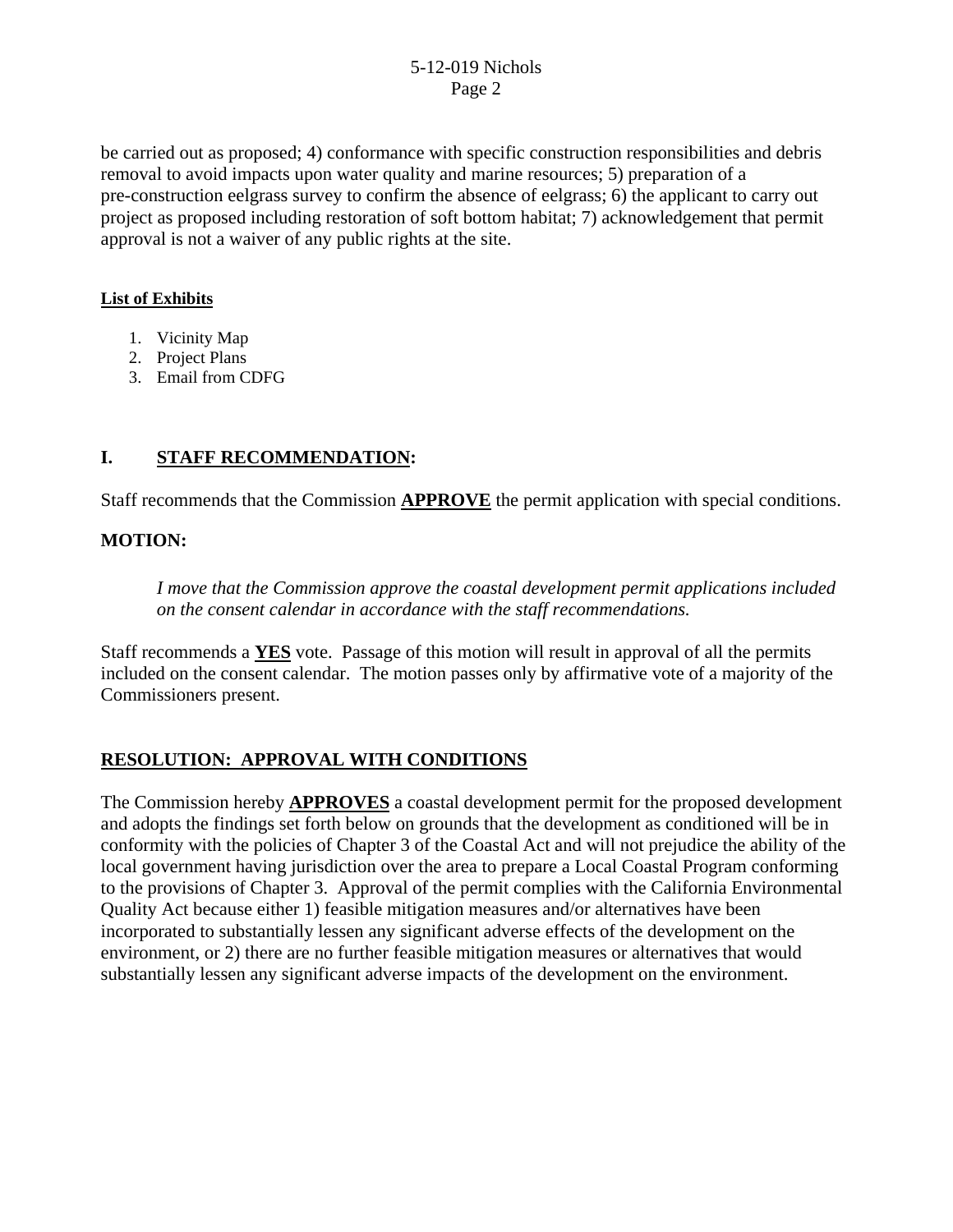be carried out as proposed; 4) conformance with specific construction responsibilities and debris removal to avoid impacts upon water quality and marine resources; 5) preparation of a pre-construction eelgrass survey to confirm the absence of eelgrass; 6) the applicant to carry out project as proposed including restoration of soft bottom habitat; 7) acknowledgement that permit approval is not a waiver of any public rights at the site.

### **List of Exhibits**

- 1. Vicinity Map
- 2. Project Plans
- 3. Email from CDFG

### **I. STAFF RECOMMENDATION:**

Staff recommends that the Commission **APPROVE** the permit application with special conditions.

#### **MOTION:**

*I move that the Commission approve the coastal development permit applications included on the consent calendar in accordance with the staff recommendations.*

Staff recommends a **YES** vote. Passage of this motion will result in approval of all the permits included on the consent calendar. The motion passes only by affirmative vote of a majority of the Commissioners present.

# **RESOLUTION: APPROVAL WITH CONDITIONS**

The Commission hereby **APPROVES** a coastal development permit for the proposed development and adopts the findings set forth below on grounds that the development as conditioned will be in conformity with the policies of Chapter 3 of the Coastal Act and will not prejudice the ability of the local government having jurisdiction over the area to prepare a Local Coastal Program conforming to the provisions of Chapter 3. Approval of the permit complies with the California Environmental Quality Act because either 1) feasible mitigation measures and/or alternatives have been incorporated to substantially lessen any significant adverse effects of the development on the environment, or 2) there are no further feasible mitigation measures or alternatives that would substantially lessen any significant adverse impacts of the development on the environment.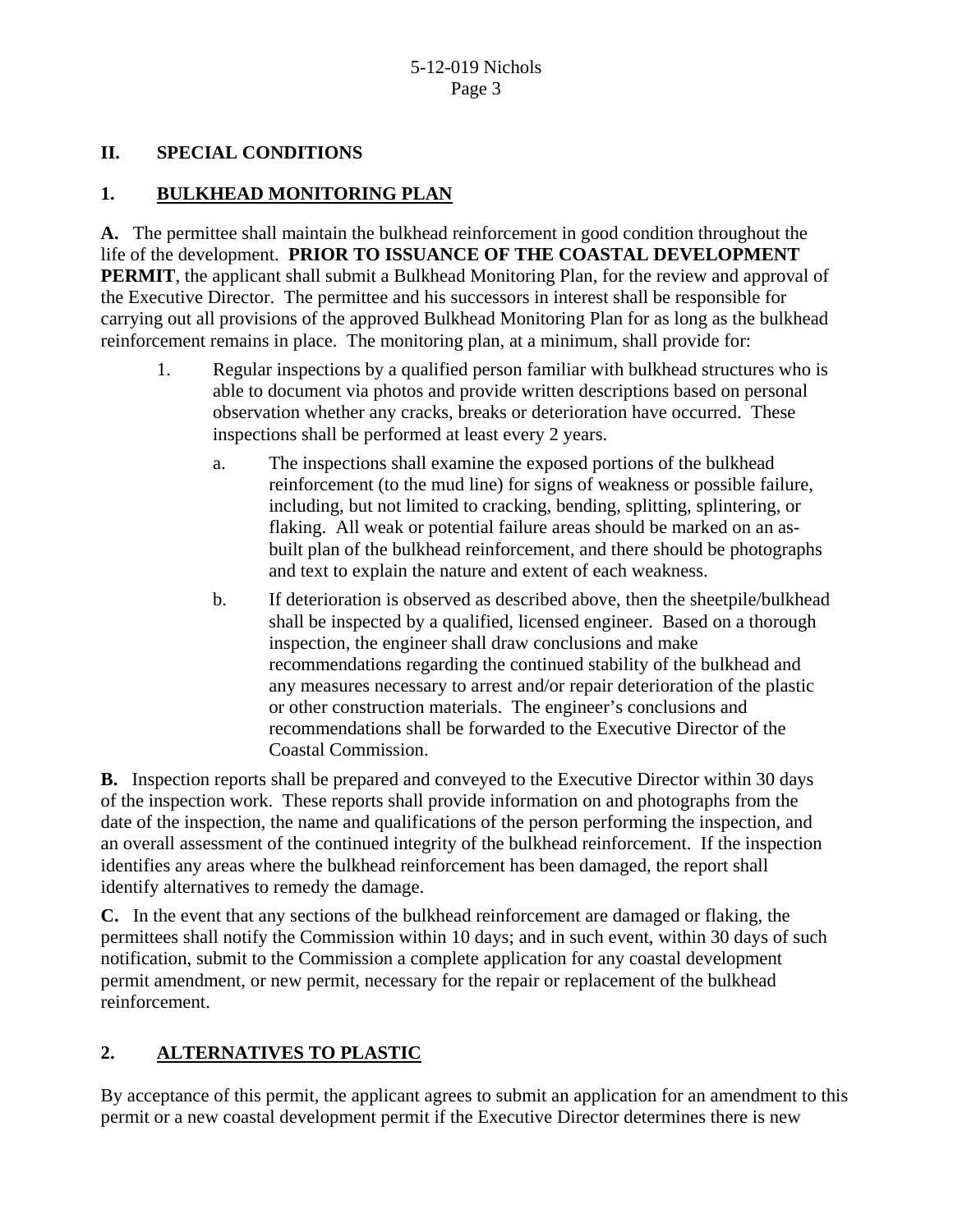### **II. SPECIAL CONDITIONS**

# **1. BULKHEAD MONITORING PLAN**

**A.** The permittee shall maintain the bulkhead reinforcement in good condition throughout the life of the development. **PRIOR TO ISSUANCE OF THE COASTAL DEVELOPMENT PERMIT**, the applicant shall submit a Bulkhead Monitoring Plan, for the review and approval of the Executive Director. The permittee and his successors in interest shall be responsible for carrying out all provisions of the approved Bulkhead Monitoring Plan for as long as the bulkhead reinforcement remains in place. The monitoring plan, at a minimum, shall provide for:

- 1. Regular inspections by a qualified person familiar with bulkhead structures who is able to document via photos and provide written descriptions based on personal observation whether any cracks, breaks or deterioration have occurred. These inspections shall be performed at least every 2 years.
	- a. The inspections shall examine the exposed portions of the bulkhead reinforcement (to the mud line) for signs of weakness or possible failure, including, but not limited to cracking, bending, splitting, splintering, or flaking. All weak or potential failure areas should be marked on an asbuilt plan of the bulkhead reinforcement, and there should be photographs and text to explain the nature and extent of each weakness.
	- b. If deterioration is observed as described above, then the sheetpile/bulkhead shall be inspected by a qualified, licensed engineer. Based on a thorough inspection, the engineer shall draw conclusions and make recommendations regarding the continued stability of the bulkhead and any measures necessary to arrest and/or repair deterioration of the plastic or other construction materials. The engineer's conclusions and recommendations shall be forwarded to the Executive Director of the Coastal Commission.

**B.** Inspection reports shall be prepared and conveyed to the Executive Director within 30 days of the inspection work. These reports shall provide information on and photographs from the date of the inspection, the name and qualifications of the person performing the inspection, and an overall assessment of the continued integrity of the bulkhead reinforcement. If the inspection identifies any areas where the bulkhead reinforcement has been damaged, the report shall identify alternatives to remedy the damage.

**C.** In the event that any sections of the bulkhead reinforcement are damaged or flaking, the permittees shall notify the Commission within 10 days; and in such event, within 30 days of such notification, submit to the Commission a complete application for any coastal development permit amendment, or new permit, necessary for the repair or replacement of the bulkhead reinforcement.

# **2. ALTERNATIVES TO PLASTIC**

By acceptance of this permit, the applicant agrees to submit an application for an amendment to this permit or a new coastal development permit if the Executive Director determines there is new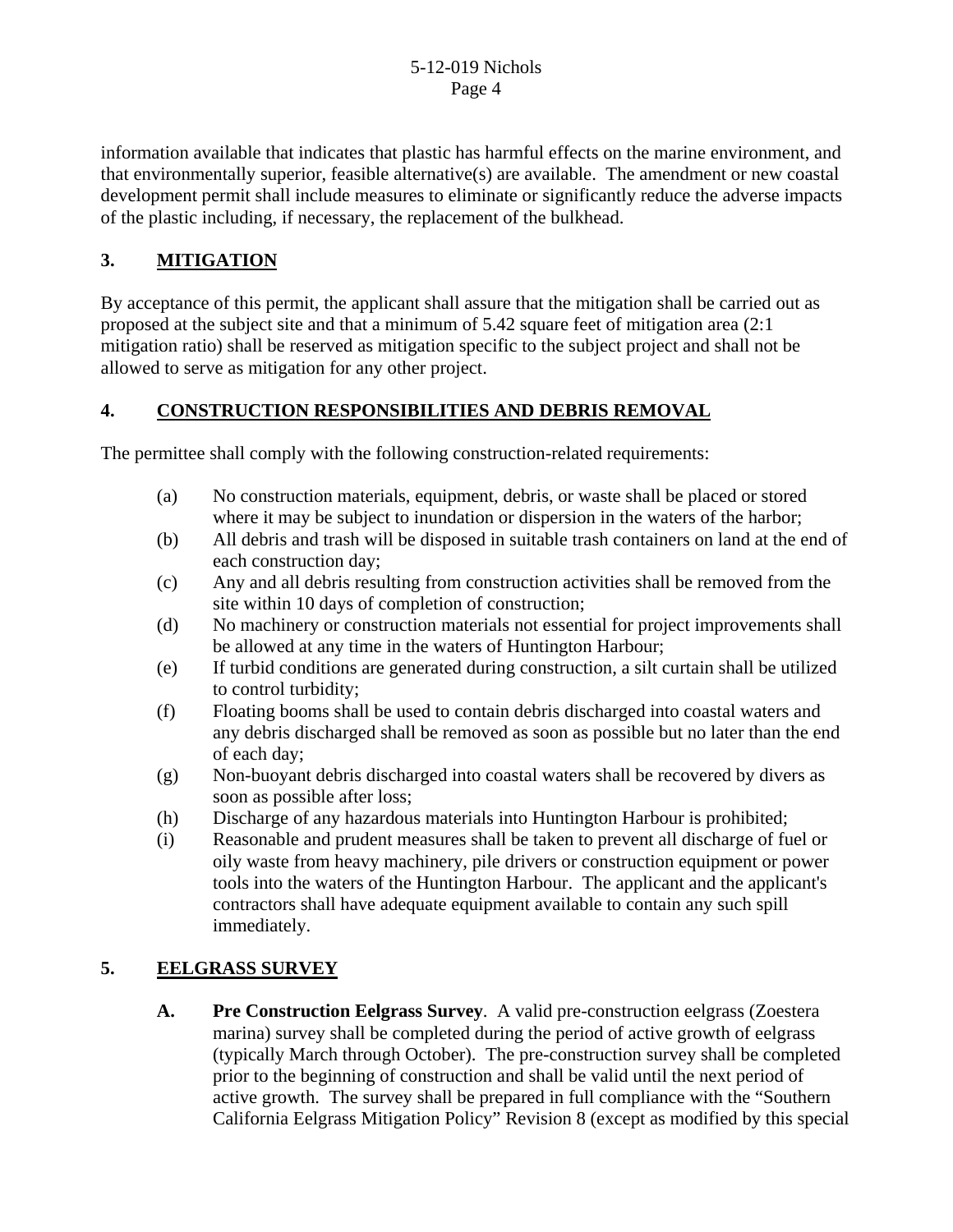information available that indicates that plastic has harmful effects on the marine environment, and that environmentally superior, feasible alternative(s) are available. The amendment or new coastal development permit shall include measures to eliminate or significantly reduce the adverse impacts of the plastic including, if necessary, the replacement of the bulkhead.

# **3. MITIGATION**

By acceptance of this permit, the applicant shall assure that the mitigation shall be carried out as proposed at the subject site and that a minimum of 5.42 square feet of mitigation area (2:1 mitigation ratio) shall be reserved as mitigation specific to the subject project and shall not be allowed to serve as mitigation for any other project.

# **4. CONSTRUCTION RESPONSIBILITIES AND DEBRIS REMOVAL**

The permittee shall comply with the following construction-related requirements:

- (a) No construction materials, equipment, debris, or waste shall be placed or stored where it may be subject to inundation or dispersion in the waters of the harbor;
- (b) All debris and trash will be disposed in suitable trash containers on land at the end of each construction day;
- (c) Any and all debris resulting from construction activities shall be removed from the site within 10 days of completion of construction;
- (d) No machinery or construction materials not essential for project improvements shall be allowed at any time in the waters of Huntington Harbour;
- (e) If turbid conditions are generated during construction, a silt curtain shall be utilized to control turbidity;
- (f) Floating booms shall be used to contain debris discharged into coastal waters and any debris discharged shall be removed as soon as possible but no later than the end of each day;
- (g) Non-buoyant debris discharged into coastal waters shall be recovered by divers as soon as possible after loss;
- (h) Discharge of any hazardous materials into Huntington Harbour is prohibited;
- (i) Reasonable and prudent measures shall be taken to prevent all discharge of fuel or oily waste from heavy machinery, pile drivers or construction equipment or power tools into the waters of the Huntington Harbour. The applicant and the applicant's contractors shall have adequate equipment available to contain any such spill immediately.

# **5. EELGRASS SURVEY**

**A. Pre Construction Eelgrass Survey**. A valid pre-construction eelgrass (Zoestera marina) survey shall be completed during the period of active growth of eelgrass (typically March through October). The pre-construction survey shall be completed prior to the beginning of construction and shall be valid until the next period of active growth. The survey shall be prepared in full compliance with the "Southern California Eelgrass Mitigation Policy" Revision 8 (except as modified by this special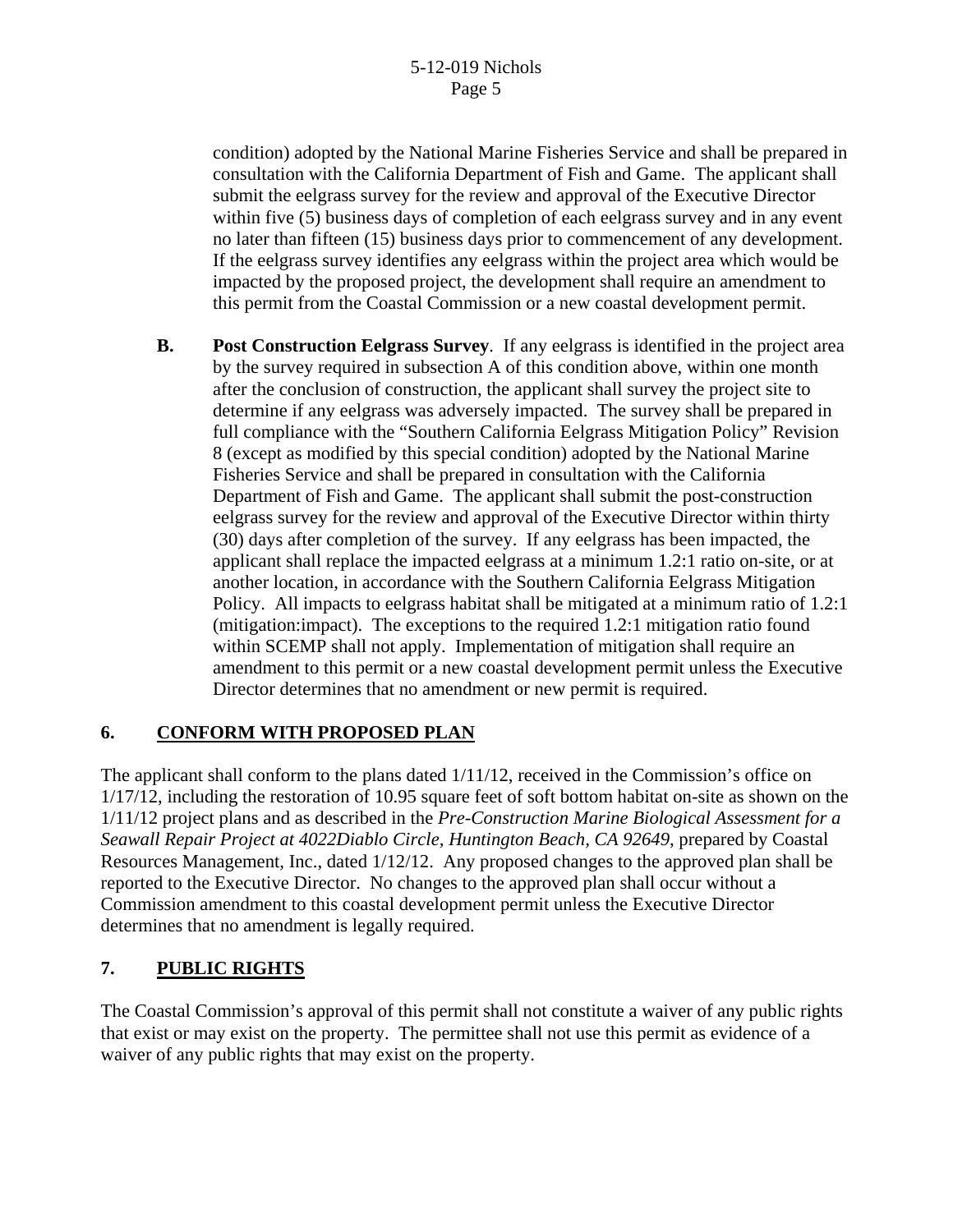condition) adopted by the National Marine Fisheries Service and shall be prepared in consultation with the California Department of Fish and Game. The applicant shall submit the eelgrass survey for the review and approval of the Executive Director within five (5) business days of completion of each eelgrass survey and in any event no later than fifteen (15) business days prior to commencement of any development. If the eelgrass survey identifies any eelgrass within the project area which would be impacted by the proposed project, the development shall require an amendment to this permit from the Coastal Commission or a new coastal development permit.

**B. Post Construction Eelgrass Survey**. If any eelgrass is identified in the project area by the survey required in subsection A of this condition above, within one month after the conclusion of construction, the applicant shall survey the project site to determine if any eelgrass was adversely impacted. The survey shall be prepared in full compliance with the "Southern California Eelgrass Mitigation Policy" Revision 8 (except as modified by this special condition) adopted by the National Marine Fisheries Service and shall be prepared in consultation with the California Department of Fish and Game. The applicant shall submit the post-construction eelgrass survey for the review and approval of the Executive Director within thirty (30) days after completion of the survey. If any eelgrass has been impacted, the applicant shall replace the impacted eelgrass at a minimum 1.2:1 ratio on-site, or at another location, in accordance with the Southern California Eelgrass Mitigation Policy. All impacts to eelgrass habitat shall be mitigated at a minimum ratio of 1.2:1 (mitigation:impact). The exceptions to the required 1.2:1 mitigation ratio found within SCEMP shall not apply. Implementation of mitigation shall require an amendment to this permit or a new coastal development permit unless the Executive Director determines that no amendment or new permit is required.

# **6. CONFORM WITH PROPOSED PLAN**

The applicant shall conform to the plans dated  $1/11/12$ , received in the Commission's office on 1/17/12, including the restoration of 10.95 square feet of soft bottom habitat on-site as shown on the 1/11/12 project plans and as described in the *Pre-Construction Marine Biological Assessment for a Seawall Repair Project at 4022Diablo Circle, Huntington Beach, CA 92649*, prepared by Coastal Resources Management, Inc., dated 1/12/12. Any proposed changes to the approved plan shall be reported to the Executive Director. No changes to the approved plan shall occur without a Commission amendment to this coastal development permit unless the Executive Director determines that no amendment is legally required.

# **7. PUBLIC RIGHTS**

The Coastal Commission's approval of this permit shall not constitute a waiver of any public rights that exist or may exist on the property. The permittee shall not use this permit as evidence of a waiver of any public rights that may exist on the property.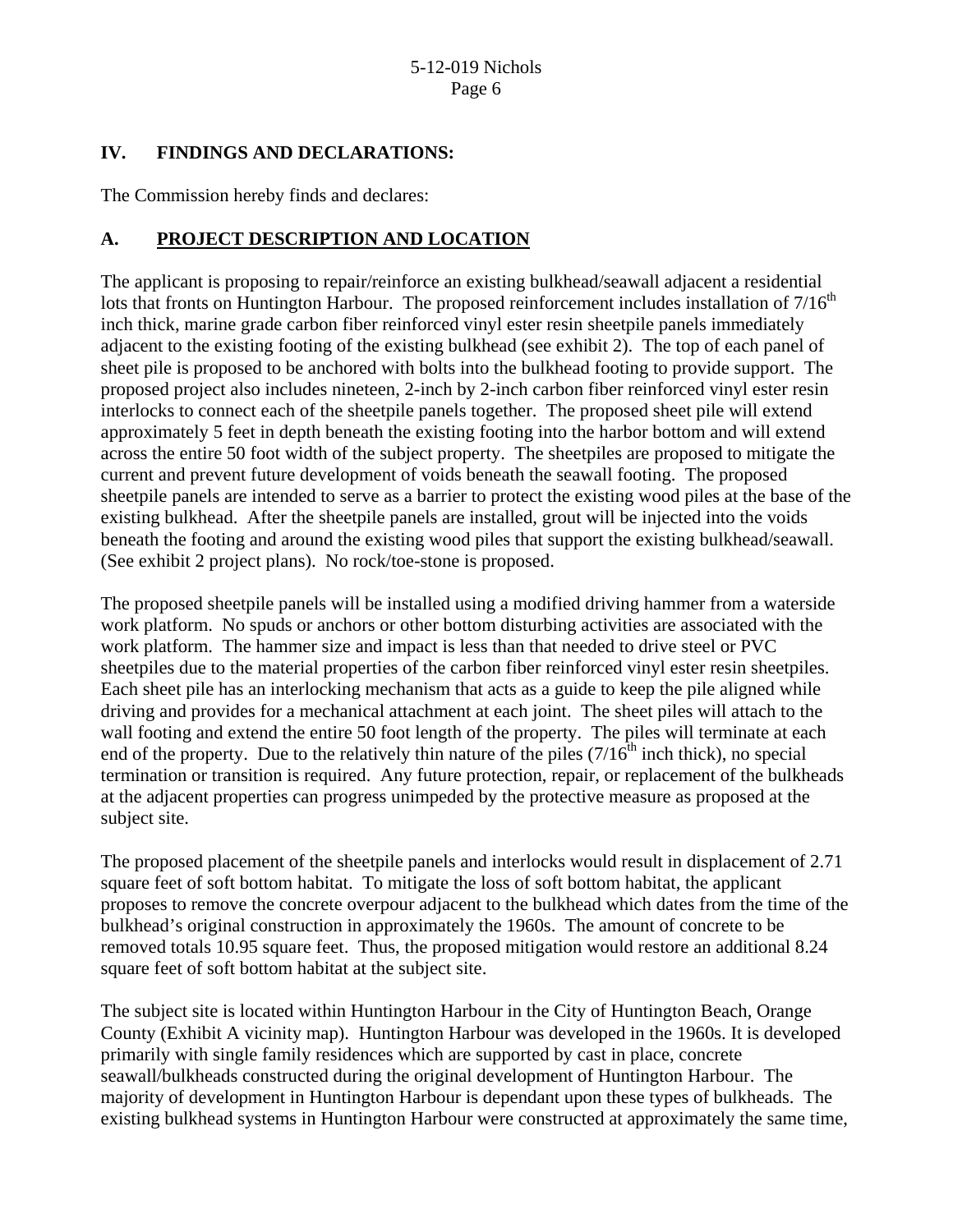### **IV. FINDINGS AND DECLARATIONS:**

The Commission hereby finds and declares:

# **A. PROJECT DESCRIPTION AND LOCATION**

The applicant is proposing to repair/reinforce an existing bulkhead/seawall adjacent a residential lots that fronts on Huntington Harbour. The proposed reinforcement includes installation of  $7/16<sup>th</sup>$ inch thick, marine grade carbon fiber reinforced vinyl ester resin sheetpile panels immediately adjacent to the existing footing of the existing bulkhead (see exhibit 2). The top of each panel of sheet pile is proposed to be anchored with bolts into the bulkhead footing to provide support. The proposed project also includes nineteen, 2-inch by 2-inch carbon fiber reinforced vinyl ester resin interlocks to connect each of the sheetpile panels together. The proposed sheet pile will extend approximately 5 feet in depth beneath the existing footing into the harbor bottom and will extend across the entire 50 foot width of the subject property. The sheetpiles are proposed to mitigate the current and prevent future development of voids beneath the seawall footing. The proposed sheetpile panels are intended to serve as a barrier to protect the existing wood piles at the base of the existing bulkhead. After the sheetpile panels are installed, grout will be injected into the voids beneath the footing and around the existing wood piles that support the existing bulkhead/seawall. (See exhibit 2 project plans). No rock/toe-stone is proposed.

The proposed sheetpile panels will be installed using a modified driving hammer from a waterside work platform. No spuds or anchors or other bottom disturbing activities are associated with the work platform. The hammer size and impact is less than that needed to drive steel or PVC sheetpiles due to the material properties of the carbon fiber reinforced vinyl ester resin sheetpiles. Each sheet pile has an interlocking mechanism that acts as a guide to keep the pile aligned while driving and provides for a mechanical attachment at each joint. The sheet piles will attach to the wall footing and extend the entire 50 foot length of the property. The piles will terminate at each end of the property. Due to the relatively thin nature of the piles  $(7/16<sup>th</sup>$  inch thick), no special termination or transition is required. Any future protection, repair, or replacement of the bulkheads at the adjacent properties can progress unimpeded by the protective measure as proposed at the subject site.

The proposed placement of the sheetpile panels and interlocks would result in displacement of 2.71 square feet of soft bottom habitat. To mitigate the loss of soft bottom habitat, the applicant proposes to remove the concrete overpour adjacent to the bulkhead which dates from the time of the bulkhead's original construction in approximately the 1960s. The amount of concrete to be removed totals 10.95 square feet. Thus, the proposed mitigation would restore an additional 8.24 square feet of soft bottom habitat at the subject site.

The subject site is located within Huntington Harbour in the City of Huntington Beach, Orange County (Exhibit A vicinity map). Huntington Harbour was developed in the 1960s. It is developed primarily with single family residences which are supported by cast in place, concrete seawall/bulkheads constructed during the original development of Huntington Harbour. The majority of development in Huntington Harbour is dependant upon these types of bulkheads. The existing bulkhead systems in Huntington Harbour were constructed at approximately the same time,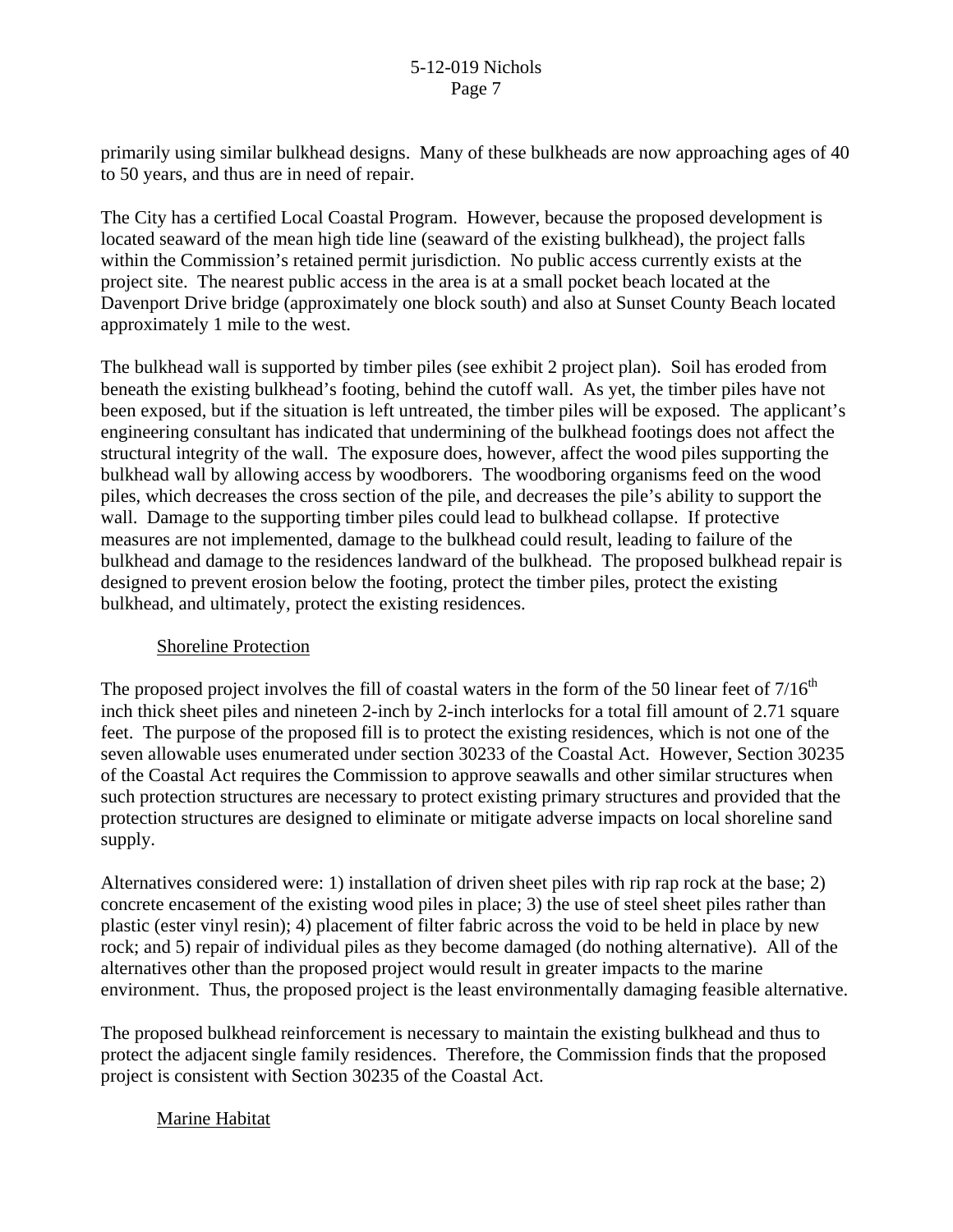primarily using similar bulkhead designs. Many of these bulkheads are now approaching ages of 40 to 50 years, and thus are in need of repair.

The City has a certified Local Coastal Program. However, because the proposed development is located seaward of the mean high tide line (seaward of the existing bulkhead), the project falls within the Commission's retained permit jurisdiction. No public access currently exists at the project site. The nearest public access in the area is at a small pocket beach located at the Davenport Drive bridge (approximately one block south) and also at Sunset County Beach located approximately 1 mile to the west.

The bulkhead wall is supported by timber piles (see exhibit 2 project plan). Soil has eroded from beneath the existing bulkhead's footing, behind the cutoff wall. As yet, the timber piles have not been exposed, but if the situation is left untreated, the timber piles will be exposed. The applicant's engineering consultant has indicated that undermining of the bulkhead footings does not affect the structural integrity of the wall. The exposure does, however, affect the wood piles supporting the bulkhead wall by allowing access by woodborers. The woodboring organisms feed on the wood piles, which decreases the cross section of the pile, and decreases the pile's ability to support the wall. Damage to the supporting timber piles could lead to bulkhead collapse. If protective measures are not implemented, damage to the bulkhead could result, leading to failure of the bulkhead and damage to the residences landward of the bulkhead. The proposed bulkhead repair is designed to prevent erosion below the footing, protect the timber piles, protect the existing bulkhead, and ultimately, protect the existing residences.

#### Shoreline Protection

The proposed project involves the fill of coastal waters in the form of the 50 linear feet of  $7/16<sup>th</sup>$ inch thick sheet piles and nineteen 2-inch by 2-inch interlocks for a total fill amount of 2.71 square feet. The purpose of the proposed fill is to protect the existing residences, which is not one of the seven allowable uses enumerated under section 30233 of the Coastal Act. However, Section 30235 of the Coastal Act requires the Commission to approve seawalls and other similar structures when such protection structures are necessary to protect existing primary structures and provided that the protection structures are designed to eliminate or mitigate adverse impacts on local shoreline sand supply.

Alternatives considered were: 1) installation of driven sheet piles with rip rap rock at the base; 2) concrete encasement of the existing wood piles in place; 3) the use of steel sheet piles rather than plastic (ester vinyl resin); 4) placement of filter fabric across the void to be held in place by new rock; and 5) repair of individual piles as they become damaged (do nothing alternative). All of the alternatives other than the proposed project would result in greater impacts to the marine environment. Thus, the proposed project is the least environmentally damaging feasible alternative.

The proposed bulkhead reinforcement is necessary to maintain the existing bulkhead and thus to protect the adjacent single family residences. Therefore, the Commission finds that the proposed project is consistent with Section 30235 of the Coastal Act.

### Marine Habitat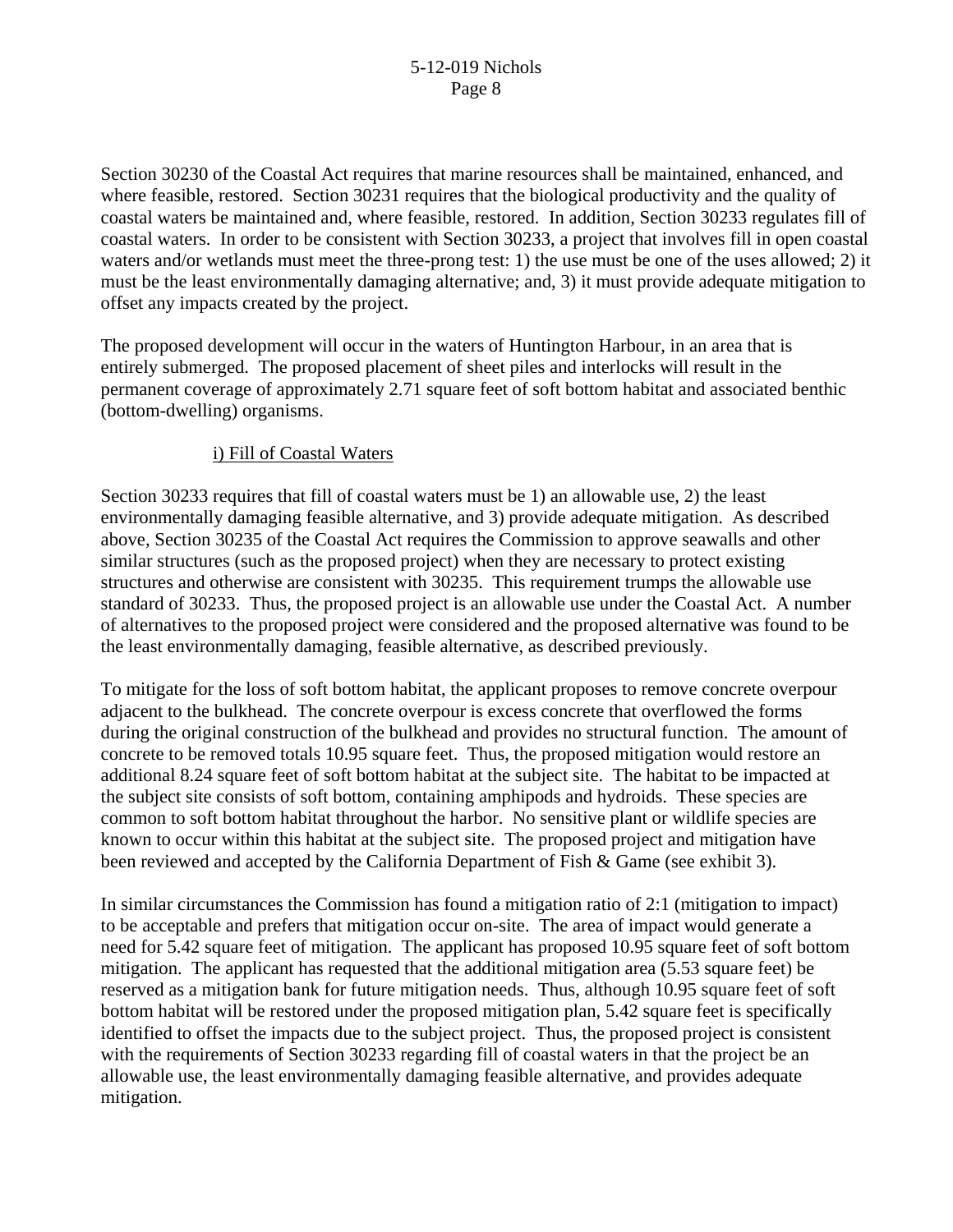Section 30230 of the Coastal Act requires that marine resources shall be maintained, enhanced, and where feasible, restored. Section 30231 requires that the biological productivity and the quality of coastal waters be maintained and, where feasible, restored. In addition, Section 30233 regulates fill of coastal waters. In order to be consistent with Section 30233, a project that involves fill in open coastal waters and/or wetlands must meet the three-prong test: 1) the use must be one of the uses allowed; 2) it must be the least environmentally damaging alternative; and, 3) it must provide adequate mitigation to offset any impacts created by the project.

The proposed development will occur in the waters of Huntington Harbour, in an area that is entirely submerged. The proposed placement of sheet piles and interlocks will result in the permanent coverage of approximately 2.71 square feet of soft bottom habitat and associated benthic (bottom-dwelling) organisms.

### i) Fill of Coastal Waters

Section 30233 requires that fill of coastal waters must be 1) an allowable use, 2) the least environmentally damaging feasible alternative, and 3) provide adequate mitigation. As described above, Section 30235 of the Coastal Act requires the Commission to approve seawalls and other similar structures (such as the proposed project) when they are necessary to protect existing structures and otherwise are consistent with 30235. This requirement trumps the allowable use standard of 30233. Thus, the proposed project is an allowable use under the Coastal Act. A number of alternatives to the proposed project were considered and the proposed alternative was found to be the least environmentally damaging, feasible alternative, as described previously.

To mitigate for the loss of soft bottom habitat, the applicant proposes to remove concrete overpour adjacent to the bulkhead. The concrete overpour is excess concrete that overflowed the forms during the original construction of the bulkhead and provides no structural function. The amount of concrete to be removed totals 10.95 square feet. Thus, the proposed mitigation would restore an additional 8.24 square feet of soft bottom habitat at the subject site. The habitat to be impacted at the subject site consists of soft bottom, containing amphipods and hydroids. These species are common to soft bottom habitat throughout the harbor. No sensitive plant or wildlife species are known to occur within this habitat at the subject site. The proposed project and mitigation have been reviewed and accepted by the California Department of Fish & Game (see exhibit 3).

In similar circumstances the Commission has found a mitigation ratio of 2:1 (mitigation to impact) to be acceptable and prefers that mitigation occur on-site. The area of impact would generate a need for 5.42 square feet of mitigation. The applicant has proposed 10.95 square feet of soft bottom mitigation. The applicant has requested that the additional mitigation area (5.53 square feet) be reserved as a mitigation bank for future mitigation needs. Thus, although 10.95 square feet of soft bottom habitat will be restored under the proposed mitigation plan, 5.42 square feet is specifically identified to offset the impacts due to the subject project. Thus, the proposed project is consistent with the requirements of Section 30233 regarding fill of coastal waters in that the project be an allowable use, the least environmentally damaging feasible alternative, and provides adequate mitigation.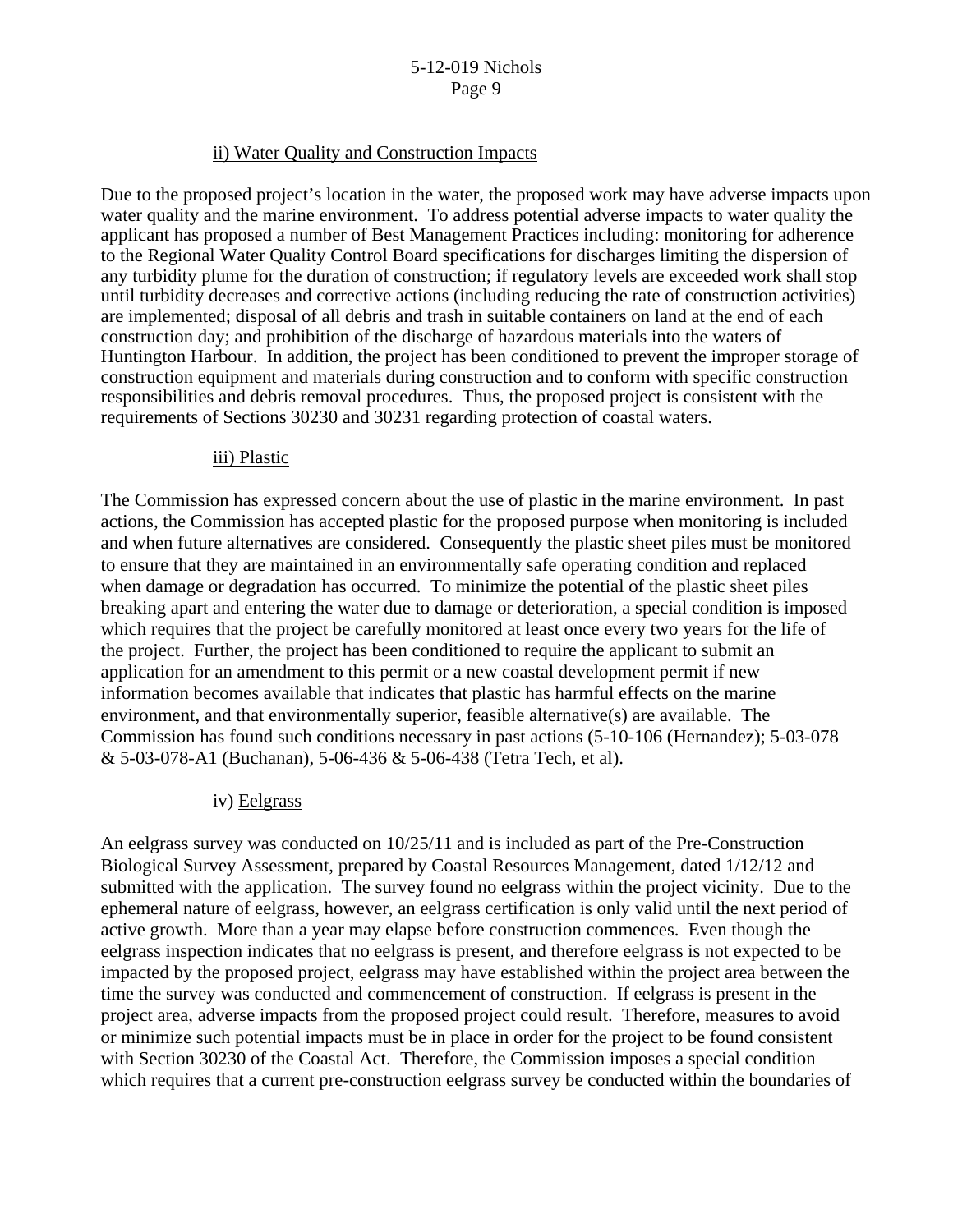#### ii) Water Quality and Construction Impacts

Due to the proposed project's location in the water, the proposed work may have adverse impacts upon water quality and the marine environment. To address potential adverse impacts to water quality the applicant has proposed a number of Best Management Practices including: monitoring for adherence to the Regional Water Quality Control Board specifications for discharges limiting the dispersion of any turbidity plume for the duration of construction; if regulatory levels are exceeded work shall stop until turbidity decreases and corrective actions (including reducing the rate of construction activities) are implemented; disposal of all debris and trash in suitable containers on land at the end of each construction day; and prohibition of the discharge of hazardous materials into the waters of Huntington Harbour. In addition, the project has been conditioned to prevent the improper storage of construction equipment and materials during construction and to conform with specific construction responsibilities and debris removal procedures. Thus, the proposed project is consistent with the requirements of Sections 30230 and 30231 regarding protection of coastal waters.

#### iii) Plastic

The Commission has expressed concern about the use of plastic in the marine environment. In past actions, the Commission has accepted plastic for the proposed purpose when monitoring is included and when future alternatives are considered. Consequently the plastic sheet piles must be monitored to ensure that they are maintained in an environmentally safe operating condition and replaced when damage or degradation has occurred. To minimize the potential of the plastic sheet piles breaking apart and entering the water due to damage or deterioration, a special condition is imposed which requires that the project be carefully monitored at least once every two years for the life of the project. Further, the project has been conditioned to require the applicant to submit an application for an amendment to this permit or a new coastal development permit if new information becomes available that indicates that plastic has harmful effects on the marine environment, and that environmentally superior, feasible alternative(s) are available. The Commission has found such conditions necessary in past actions (5-10-106 (Hernandez); 5-03-078 & 5-03-078-A1 (Buchanan), 5-06-436 & 5-06-438 (Tetra Tech, et al).

#### iv) Eelgrass

An eelgrass survey was conducted on 10/25/11 and is included as part of the Pre-Construction Biological Survey Assessment, prepared by Coastal Resources Management, dated 1/12/12 and submitted with the application. The survey found no eelgrass within the project vicinity. Due to the ephemeral nature of eelgrass, however, an eelgrass certification is only valid until the next period of active growth. More than a year may elapse before construction commences. Even though the eelgrass inspection indicates that no eelgrass is present, and therefore eelgrass is not expected to be impacted by the proposed project, eelgrass may have established within the project area between the time the survey was conducted and commencement of construction. If eelgrass is present in the project area, adverse impacts from the proposed project could result. Therefore, measures to avoid or minimize such potential impacts must be in place in order for the project to be found consistent with Section 30230 of the Coastal Act. Therefore, the Commission imposes a special condition which requires that a current pre-construction eelgrass survey be conducted within the boundaries of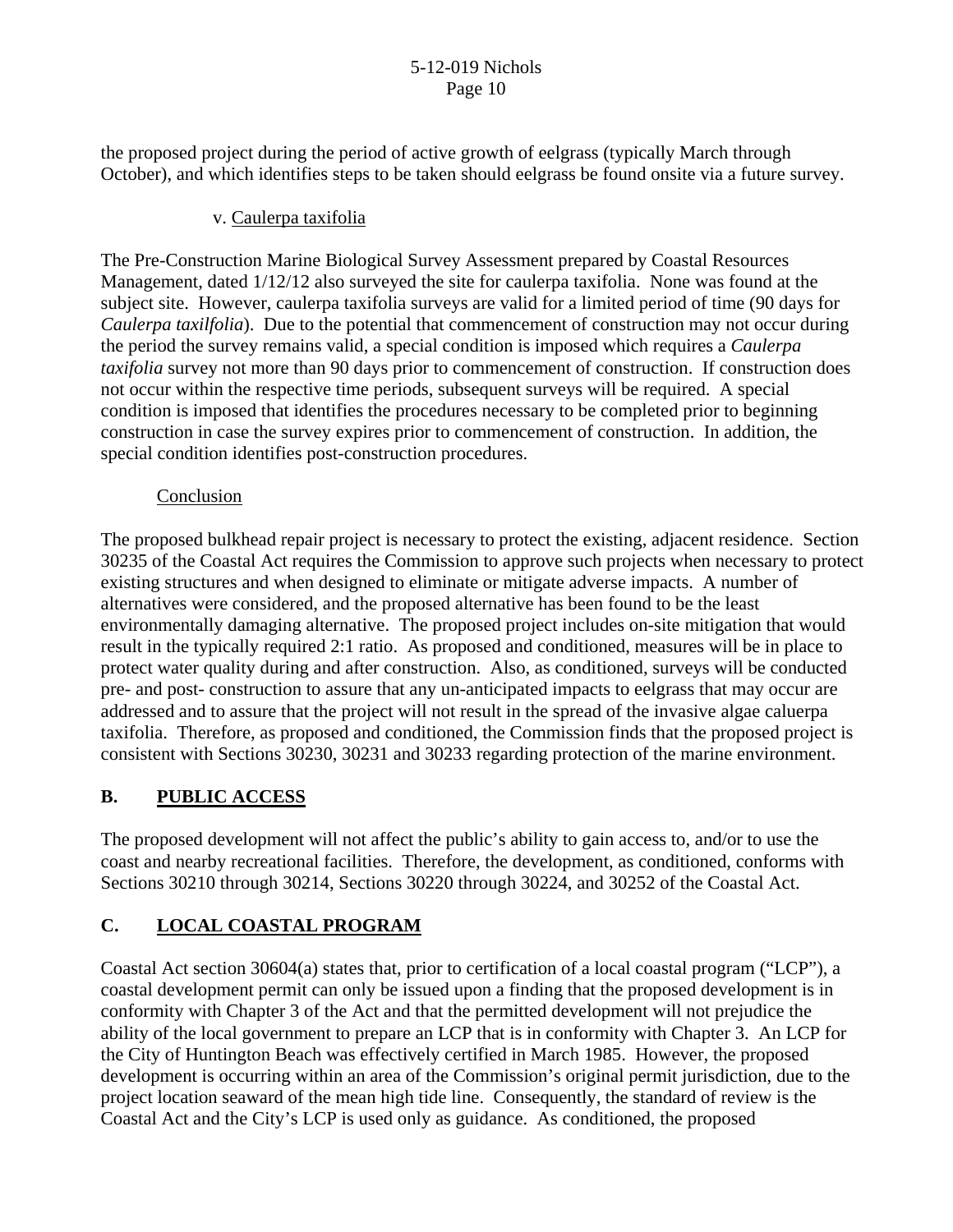the proposed project during the period of active growth of eelgrass (typically March through October), and which identifies steps to be taken should eelgrass be found onsite via a future survey.

### v. Caulerpa taxifolia

The Pre-Construction Marine Biological Survey Assessment prepared by Coastal Resources Management, dated 1/12/12 also surveyed the site for caulerpa taxifolia. None was found at the subject site. However, caulerpa taxifolia surveys are valid for a limited period of time (90 days for *Caulerpa taxilfolia*). Due to the potential that commencement of construction may not occur during the period the survey remains valid, a special condition is imposed which requires a *Caulerpa taxifolia* survey not more than 90 days prior to commencement of construction. If construction does not occur within the respective time periods, subsequent surveys will be required. A special condition is imposed that identifies the procedures necessary to be completed prior to beginning construction in case the survey expires prior to commencement of construction. In addition, the special condition identifies post-construction procedures.

#### Conclusion

The proposed bulkhead repair project is necessary to protect the existing, adjacent residence. Section 30235 of the Coastal Act requires the Commission to approve such projects when necessary to protect existing structures and when designed to eliminate or mitigate adverse impacts. A number of alternatives were considered, and the proposed alternative has been found to be the least environmentally damaging alternative. The proposed project includes on-site mitigation that would result in the typically required 2:1 ratio. As proposed and conditioned, measures will be in place to protect water quality during and after construction. Also, as conditioned, surveys will be conducted pre- and post- construction to assure that any un-anticipated impacts to eelgrass that may occur are addressed and to assure that the project will not result in the spread of the invasive algae caluerpa taxifolia. Therefore, as proposed and conditioned, the Commission finds that the proposed project is consistent with Sections 30230, 30231 and 30233 regarding protection of the marine environment.

# **B. PUBLIC ACCESS**

The proposed development will not affect the public's ability to gain access to, and/or to use the coast and nearby recreational facilities. Therefore, the development, as conditioned, conforms with Sections 30210 through 30214, Sections 30220 through 30224, and 30252 of the Coastal Act.

# **C. LOCAL COASTAL PROGRAM**

Coastal Act section 30604(a) states that, prior to certification of a local coastal program ("LCP"), a coastal development permit can only be issued upon a finding that the proposed development is in conformity with Chapter 3 of the Act and that the permitted development will not prejudice the ability of the local government to prepare an LCP that is in conformity with Chapter 3. An LCP for the City of Huntington Beach was effectively certified in March 1985. However, the proposed development is occurring within an area of the Commission's original permit jurisdiction, due to the project location seaward of the mean high tide line. Consequently, the standard of review is the Coastal Act and the City's LCP is used only as guidance. As conditioned, the proposed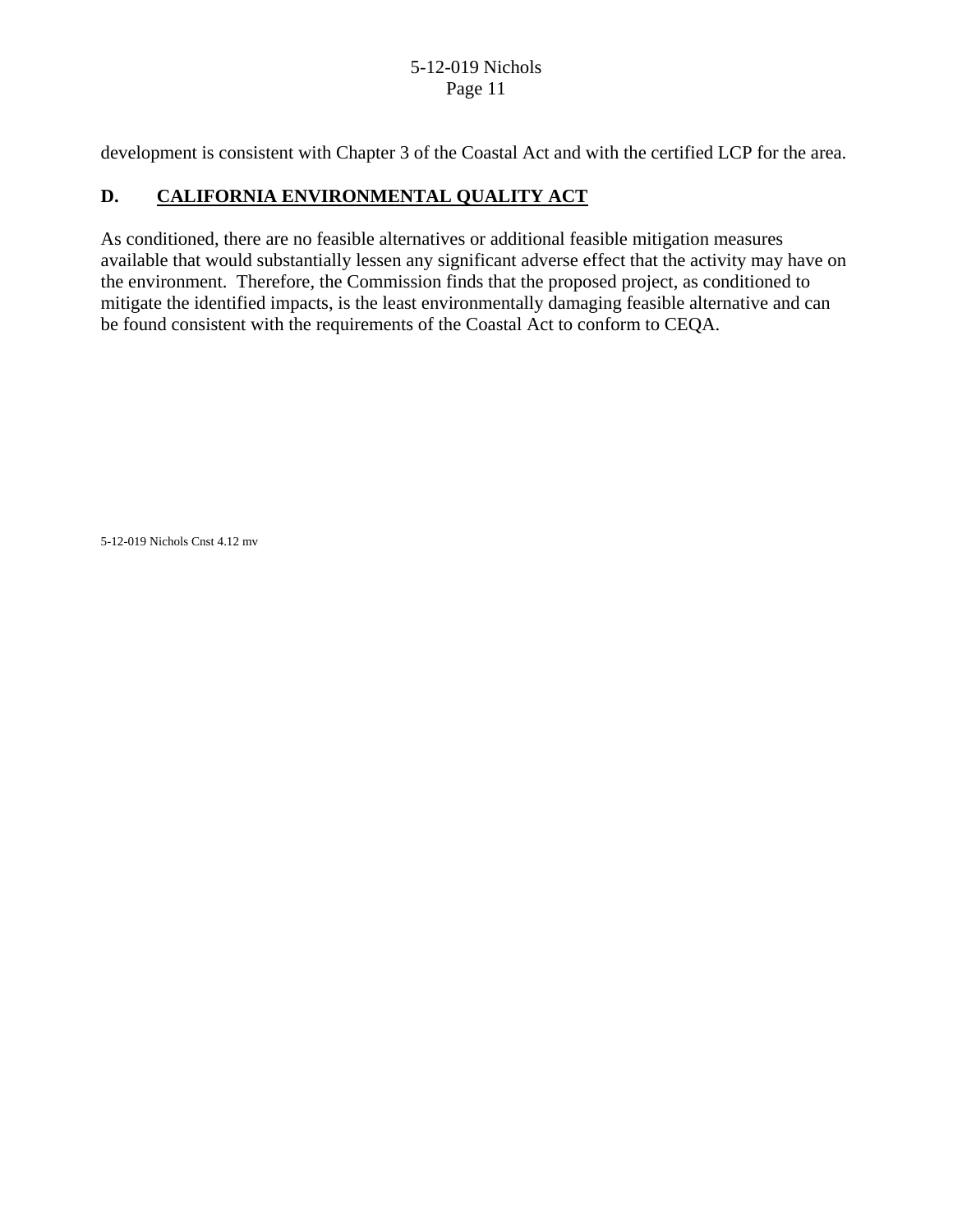development is consistent with Chapter 3 of the Coastal Act and with the certified LCP for the area.

# **D. CALIFORNIA ENVIRONMENTAL QUALITY ACT**

As conditioned, there are no feasible alternatives or additional feasible mitigation measures available that would substantially lessen any significant adverse effect that the activity may have on the environment. Therefore, the Commission finds that the proposed project, as conditioned to mitigate the identified impacts, is the least environmentally damaging feasible alternative and can be found consistent with the requirements of the Coastal Act to conform to CEQA.

5-12-019 Nichols Cnst 4.12 mv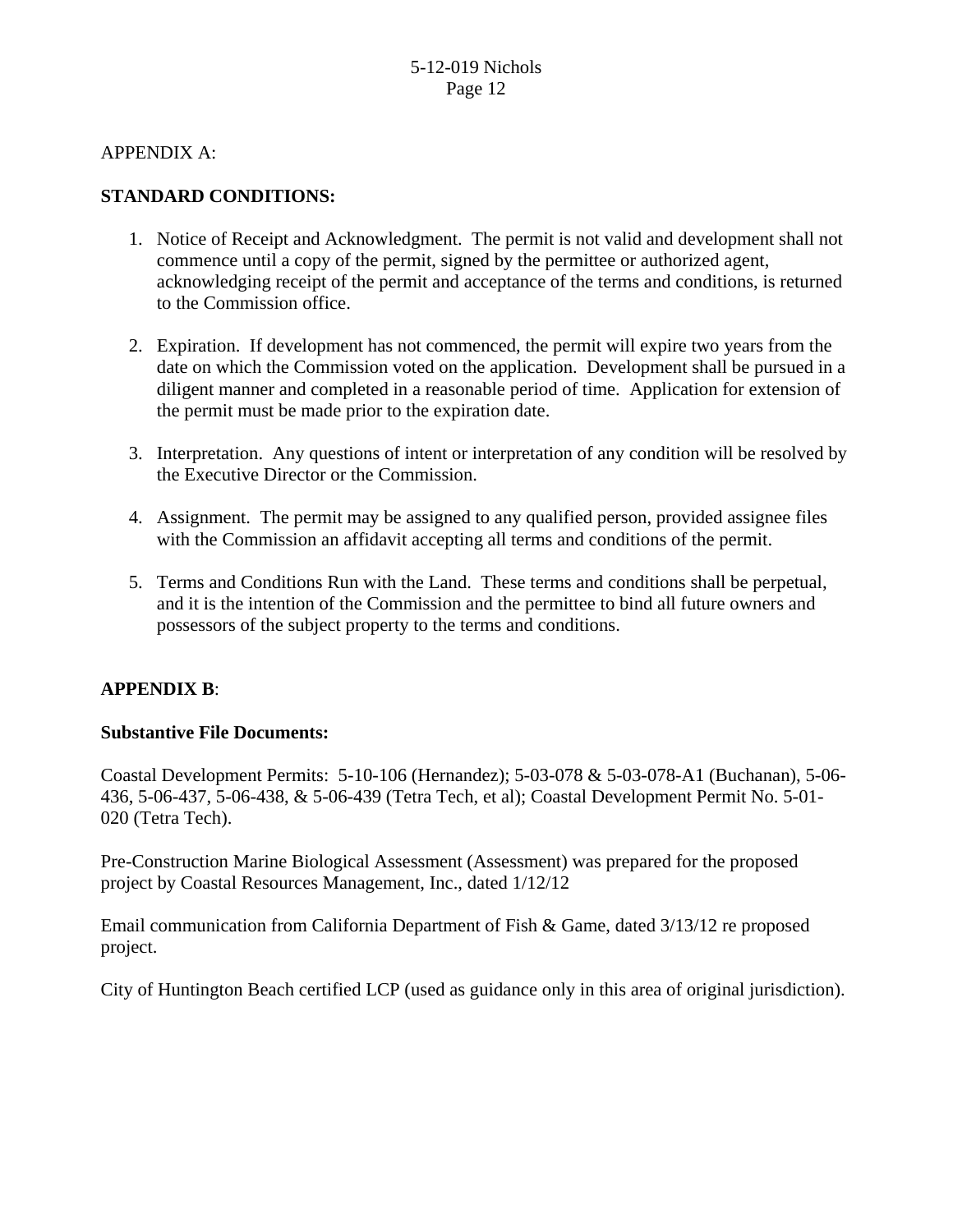APPENDIX A:

### **STANDARD CONDITIONS:**

- 1. Notice of Receipt and Acknowledgment. The permit is not valid and development shall not commence until a copy of the permit, signed by the permittee or authorized agent, acknowledging receipt of the permit and acceptance of the terms and conditions, is returned to the Commission office.
- 2. Expiration. If development has not commenced, the permit will expire two years from the date on which the Commission voted on the application. Development shall be pursued in a diligent manner and completed in a reasonable period of time. Application for extension of the permit must be made prior to the expiration date.
- 3. Interpretation. Any questions of intent or interpretation of any condition will be resolved by the Executive Director or the Commission.
- 4. Assignment. The permit may be assigned to any qualified person, provided assignee files with the Commission an affidavit accepting all terms and conditions of the permit.
- 5. Terms and Conditions Run with the Land. These terms and conditions shall be perpetual, and it is the intention of the Commission and the permittee to bind all future owners and possessors of the subject property to the terms and conditions.

### **APPENDIX B**:

### **Substantive File Documents:**

Coastal Development Permits: 5-10-106 (Hernandez); 5-03-078 & 5-03-078-A1 (Buchanan), 5-06- 436, 5-06-437, 5-06-438, & 5-06-439 (Tetra Tech, et al); Coastal Development Permit No. 5-01- 020 (Tetra Tech).

Pre-Construction Marine Biological Assessment (Assessment) was prepared for the proposed project by Coastal Resources Management, Inc., dated 1/12/12

Email communication from California Department of Fish & Game, dated 3/13/12 re proposed project.

City of Huntington Beach certified LCP (used as guidance only in this area of original jurisdiction).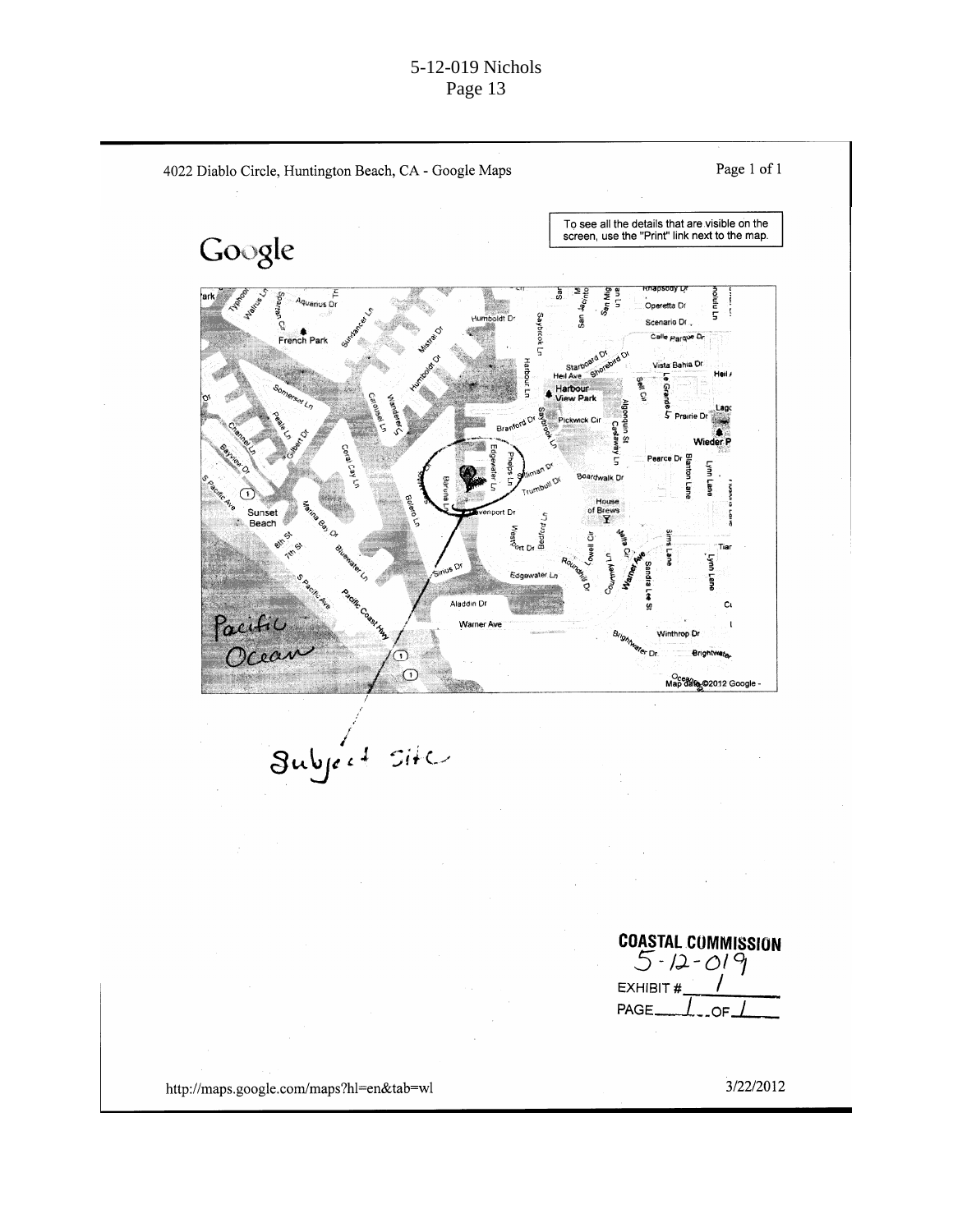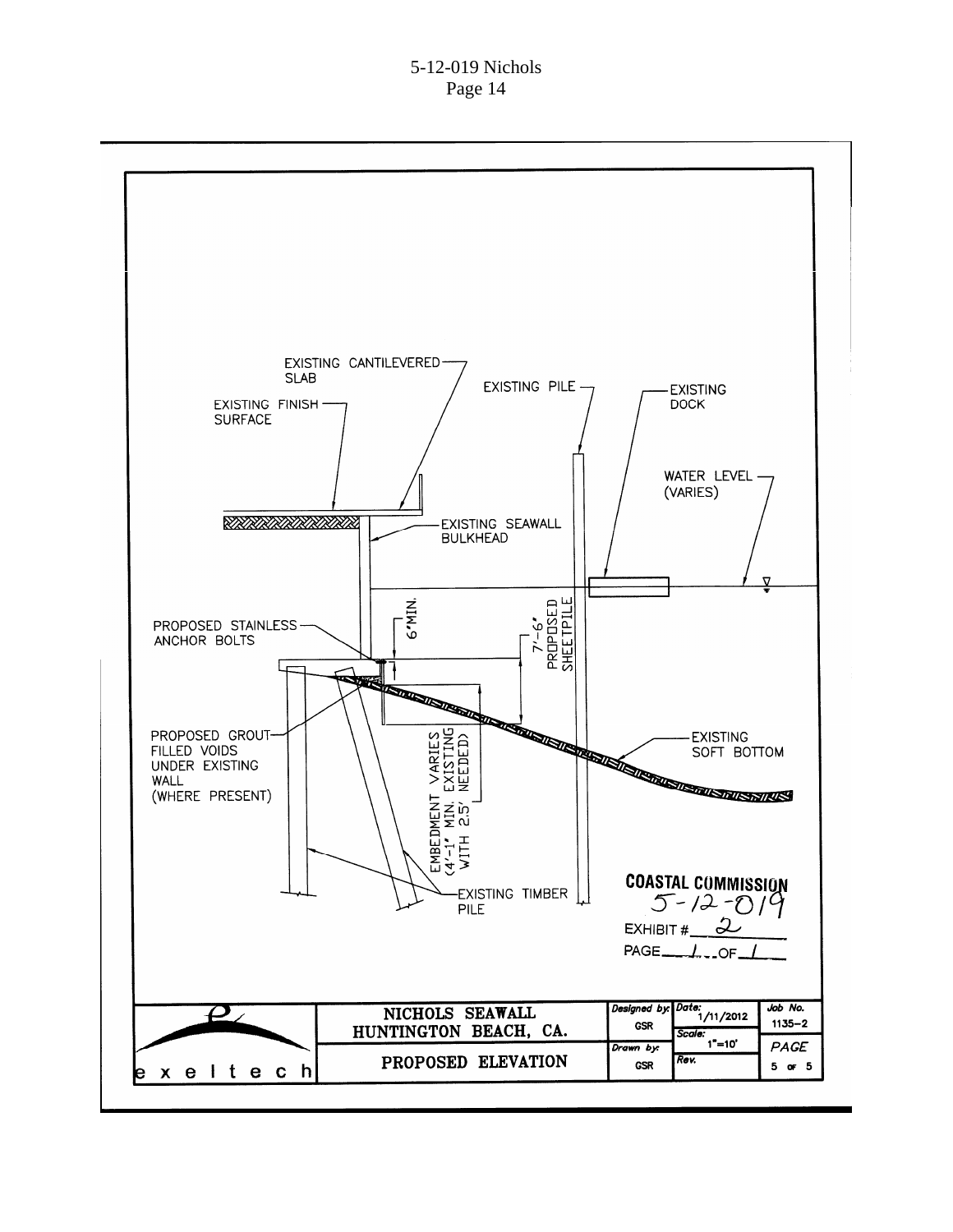